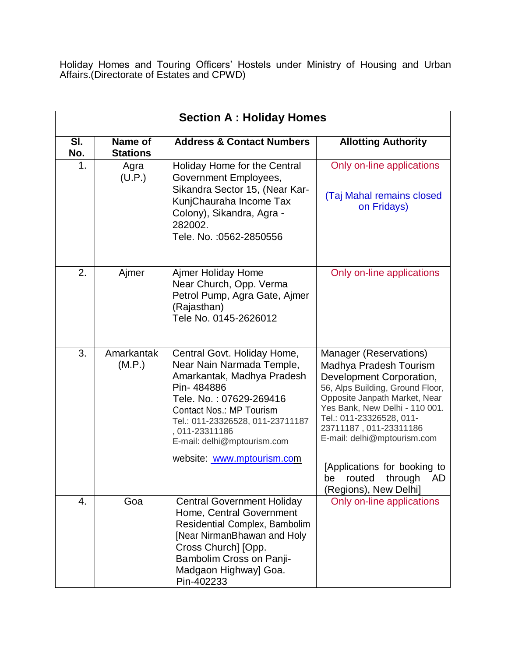Holiday Homes and Touring Officers' Hostels under Ministry of Housing and Urban Affairs.(Directorate of Estates and CPWD)

| <b>Section A: Holiday Homes</b> |                            |                                                                                                                                                                                                                                                                                       |                                                                                                                                                                                                                                                                                                                                                           |
|---------------------------------|----------------------------|---------------------------------------------------------------------------------------------------------------------------------------------------------------------------------------------------------------------------------------------------------------------------------------|-----------------------------------------------------------------------------------------------------------------------------------------------------------------------------------------------------------------------------------------------------------------------------------------------------------------------------------------------------------|
| SI.<br>No.                      | Name of<br><b>Stations</b> | <b>Address &amp; Contact Numbers</b>                                                                                                                                                                                                                                                  | <b>Allotting Authority</b>                                                                                                                                                                                                                                                                                                                                |
| 1.                              | Agra<br>(U.P.)             | Holiday Home for the Central<br>Government Employees,<br>Sikandra Sector 15, (Near Kar-<br>KunjChauraha Income Tax<br>Colony), Sikandra, Agra -<br>282002.<br>Tele. No. : 0562-2850556                                                                                                | Only on-line applications<br>(Taj Mahal remains closed<br>on Fridays)                                                                                                                                                                                                                                                                                     |
| 2.                              | Ajmer                      | Ajmer Holiday Home<br>Near Church, Opp. Verma<br>Petrol Pump, Agra Gate, Ajmer<br>(Rajasthan)<br>Tele No. 0145-2626012                                                                                                                                                                | Only on-line applications                                                                                                                                                                                                                                                                                                                                 |
| 3.                              | Amarkantak<br>(M.P.)       | Central Govt. Holiday Home,<br>Near Nain Narmada Temple,<br>Amarkantak, Madhya Pradesh<br>Pin-484886<br>Tele. No.: 07629-269416<br><b>Contact Nos.: MP Tourism</b><br>Tel.: 011-23326528, 011-23711187<br>, 011-23311186<br>E-mail: delhi@mptourism.com<br>website: www.mptourism.com | Manager (Reservations)<br>Madhya Pradesh Tourism<br>Development Corporation,<br>56, Alps Building, Ground Floor,<br>Opposite Janpath Market, Near<br>Yes Bank, New Delhi - 110 001.<br>Tel.: 011-23326528, 011-<br>23711187, 011-23311186<br>E-mail: delhi@mptourism.com<br>[Applications for booking to<br>be routed through AD<br>(Regions), New Delhi] |
| 4.                              | Goa                        | <b>Central Government Holiday</b><br>Home, Central Government<br>Residential Complex, Bambolim<br>[Near NirmanBhawan and Holy<br>Cross Church] [Opp.<br>Bambolim Cross on Panji-<br>Madgaon Highway] Goa.<br>Pin-402233                                                               | Only on-line applications                                                                                                                                                                                                                                                                                                                                 |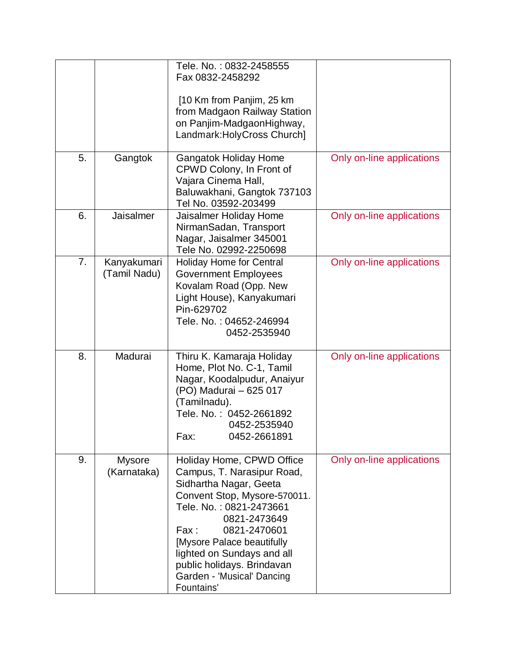|    |              | Tele. No.: 0832-2458555         |                           |
|----|--------------|---------------------------------|---------------------------|
|    |              | Fax 0832-2458292                |                           |
|    |              |                                 |                           |
|    |              | [10 Km from Panjim, 25 km       |                           |
|    |              | from Madgaon Railway Station    |                           |
|    |              | on Panjim-MadgaonHighway,       |                           |
|    |              | Landmark: Holy Cross Church]    |                           |
|    |              |                                 |                           |
| 5. | Gangtok      | <b>Gangatok Holiday Home</b>    | Only on-line applications |
|    |              | CPWD Colony, In Front of        |                           |
|    |              | Vajara Cinema Hall,             |                           |
|    |              | Baluwakhani, Gangtok 737103     |                           |
|    |              | Tel No. 03592-203499            |                           |
| 6. | Jaisalmer    | Jaisalmer Holiday Home          | Only on-line applications |
|    |              | NirmanSadan, Transport          |                           |
|    |              | Nagar, Jaisalmer 345001         |                           |
|    |              | Tele No. 02992-2250698          |                           |
| 7. | Kanyakumari  | <b>Holiday Home for Central</b> | Only on-line applications |
|    | (Tamil Nadu) | <b>Government Employees</b>     |                           |
|    |              | Kovalam Road (Opp. New          |                           |
|    |              | Light House), Kanyakumari       |                           |
|    |              | Pin-629702                      |                           |
|    |              | Tele. No.: 04652-246994         |                           |
|    |              | 0452-2535940                    |                           |
|    |              |                                 |                           |
| 8. | Madurai      | Thiru K. Kamaraja Holiday       | Only on-line applications |
|    |              | Home, Plot No. C-1, Tamil       |                           |
|    |              | Nagar, Koodalpudur, Anaiyur     |                           |
|    |              | (PO) Madurai - 625 017          |                           |
|    |              | (Tamilnadu).                    |                           |
|    |              | Tele. No.: 0452-2661892         |                           |
|    |              | 0452-2535940                    |                           |
|    |              | 0452-2661891<br>Fax:            |                           |
|    |              |                                 |                           |
| 9. | Mysore       | Holiday Home, CPWD Office       | Only on-line applications |
|    | (Karnataka)  | Campus, T. Narasipur Road,      |                           |
|    |              | Sidhartha Nagar, Geeta          |                           |
|    |              | Convent Stop, Mysore-570011.    |                           |
|    |              | Tele. No.: 0821-2473661         |                           |
|    |              | 0821-2473649                    |                           |
|    |              | 0821-2470601<br>Fax:            |                           |
|    |              | [Mysore Palace beautifully      |                           |
|    |              | lighted on Sundays and all      |                           |
|    |              |                                 |                           |
|    |              | public holidays. Brindavan      |                           |
|    |              | Garden - 'Musical' Dancing      |                           |
|    |              | Fountains'                      |                           |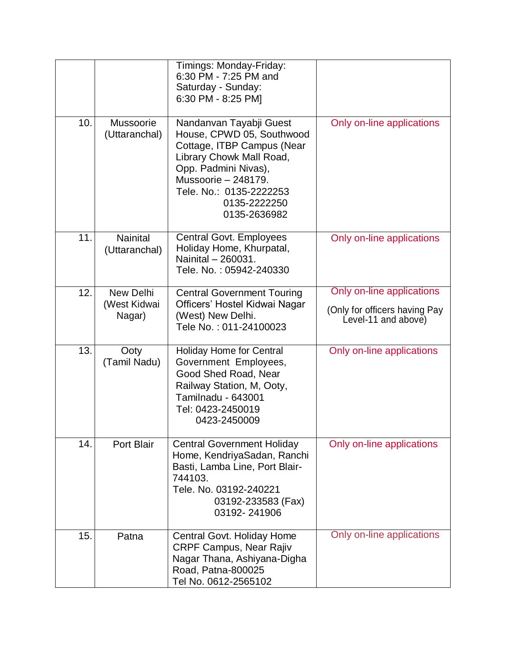|     |                                     | Timings: Monday-Friday:<br>6:30 PM - 7:25 PM and<br>Saturday - Sunday:<br>6:30 PM - 8:25 PM]                                                                                                                             |                                                                                   |
|-----|-------------------------------------|--------------------------------------------------------------------------------------------------------------------------------------------------------------------------------------------------------------------------|-----------------------------------------------------------------------------------|
| 10. | Mussoorie<br>(Uttaranchal)          | Nandanvan Tayabji Guest<br>House, CPWD 05, Southwood<br>Cottage, ITBP Campus (Near<br>Library Chowk Mall Road,<br>Opp. Padmini Nivas),<br>Mussoorie - 248179.<br>Tele. No.: 0135-2222253<br>0135-2222250<br>0135-2636982 | Only on-line applications                                                         |
| 11. | <b>Nainital</b><br>(Uttaranchal)    | <b>Central Govt. Employees</b><br>Holiday Home, Khurpatal,<br>Nainital - 260031.<br>Tele, No.: 05942-240330                                                                                                              | Only on-line applications                                                         |
| 12. | New Delhi<br>(West Kidwai<br>Nagar) | <b>Central Government Touring</b><br>Officers' Hostel Kidwai Nagar<br>(West) New Delhi.<br>Tele No.: 011-24100023                                                                                                        | Only on-line applications<br>(Only for officers having Pay<br>Level-11 and above) |
| 13. | Ooty<br>(Tamil Nadu)                | <b>Holiday Home for Central</b><br>Government Employees,<br>Good Shed Road, Near<br>Railway Station, M, Ooty,<br>Tamilnadu - 643001<br>Tel: 0423-2450019<br>0423-2450009                                                 | Only on-line applications                                                         |
| 14. | Port Blair                          | <b>Central Government Holiday</b><br>Home, KendriyaSadan, Ranchi<br>Basti, Lamba Line, Port Blair-<br>744103.<br>Tele, No. 03192-240221<br>03192-233583 (Fax)<br>03192-241906                                            | Only on-line applications                                                         |
| 15. | Patna                               | Central Govt. Holiday Home<br><b>CRPF Campus, Near Rajiv</b><br>Nagar Thana, Ashiyana-Digha<br>Road, Patna-800025<br>Tel No. 0612-2565102                                                                                | Only on-line applications                                                         |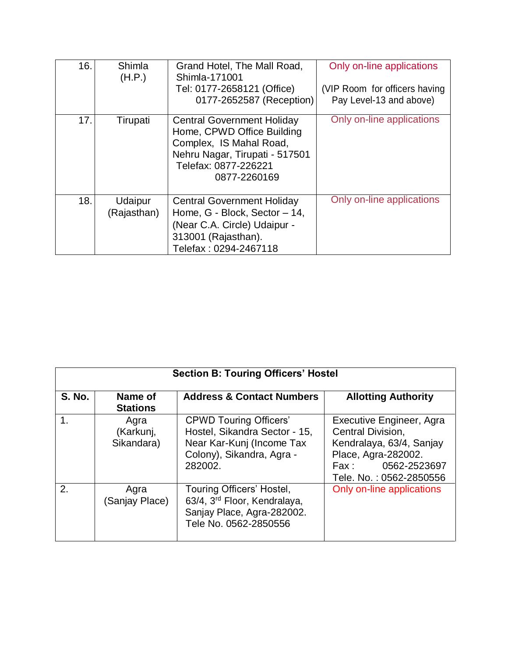| 16. | Shimla<br>(H.P.)       | Grand Hotel, The Mall Road,<br>Shimla-171001<br>Tel: 0177-2658121 (Office)<br>0177-2652587 (Reception)                                                               | Only on-line applications<br>(VIP Room for officers having<br>Pay Level-13 and above) |
|-----|------------------------|----------------------------------------------------------------------------------------------------------------------------------------------------------------------|---------------------------------------------------------------------------------------|
| 17. | Tirupati               | <b>Central Government Holiday</b><br>Home, CPWD Office Building<br>Complex, IS Mahal Road,<br>Nehru Nagar, Tirupati - 517501<br>Telefax: 0877-226221<br>0877-2260169 | Only on-line applications                                                             |
| 18. | Udaipur<br>(Rajasthan) | <b>Central Government Holiday</b><br>Home, G - Block, Sector - 14,<br>(Near C.A. Circle) Udaipur -<br>313001 (Rajasthan).<br>Telefax: 0294-2467118                   | Only on-line applications                                                             |

| <b>Section B: Touring Officers' Hostel</b> |                                 |                                                                                                                                     |                                                                                                                                                                 |
|--------------------------------------------|---------------------------------|-------------------------------------------------------------------------------------------------------------------------------------|-----------------------------------------------------------------------------------------------------------------------------------------------------------------|
| <b>S. No.</b>                              | Name of<br><b>Stations</b>      | <b>Address &amp; Contact Numbers</b>                                                                                                | <b>Allotting Authority</b>                                                                                                                                      |
|                                            | Agra<br>(Karkunj,<br>Sikandara) | <b>CPWD Touring Officers'</b><br>Hostel, Sikandra Sector - 15,<br>Near Kar-Kunj (Income Tax<br>Colony), Sikandra, Agra -<br>282002. | Executive Engineer, Agra<br>Central Division,<br>Kendralaya, 63/4, Sanjay<br>Place, Agra-282002.<br>$\mathsf{Fax}$ :<br>0562-2523697<br>Tele, No.: 0562-2850556 |
| 2.                                         | Agra<br>(Sanjay Place)          | Touring Officers' Hostel,<br>63/4, 3rd Floor, Kendralaya,<br>Sanjay Place, Agra-282002.<br>Tele No. 0562-2850556                    | Only on-line applications                                                                                                                                       |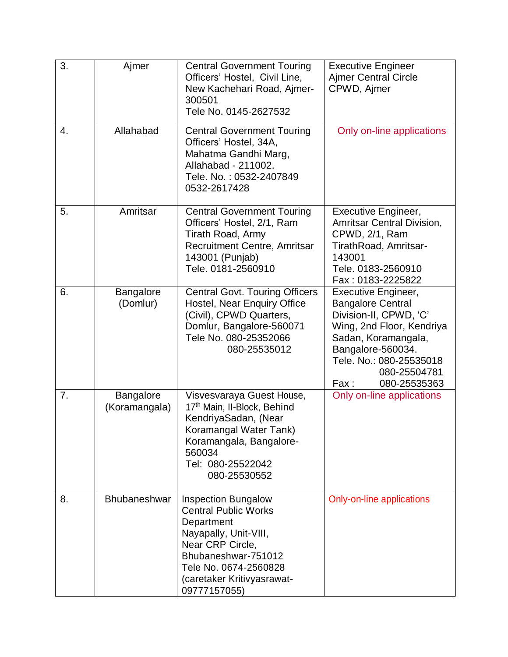| 3. | Ajmer                      | <b>Central Government Touring</b><br>Officers' Hostel, Civil Line,<br>New Kachehari Road, Ajmer-<br>300501<br>Tele No. 0145-2627532                                                                                | <b>Executive Engineer</b><br><b>Ajmer Central Circle</b><br>CPWD, Ajmer                                                                                                                                                      |
|----|----------------------------|--------------------------------------------------------------------------------------------------------------------------------------------------------------------------------------------------------------------|------------------------------------------------------------------------------------------------------------------------------------------------------------------------------------------------------------------------------|
| 4. | Allahabad                  | <b>Central Government Touring</b><br>Officers' Hostel, 34A,<br>Mahatma Gandhi Marg,<br>Allahabad - 211002.<br>Tele. No.: 0532-2407849<br>0532-2617428                                                              | Only on-line applications                                                                                                                                                                                                    |
| 5. | Amritsar                   | <b>Central Government Touring</b><br>Officers' Hostel, 2/1, Ram<br>Tirath Road, Army<br>Recruitment Centre, Amritsar<br>143001 (Punjab)<br>Tele. 0181-2560910                                                      | Executive Engineer,<br>Amritsar Central Division,<br>CPWD, 2/1, Ram<br>TirathRoad, Amritsar-<br>143001<br>Tele. 0183-2560910<br>Fax: 0183-2225822                                                                            |
| 6. | Bangalore<br>(Domlur)      | <b>Central Govt. Touring Officers</b><br>Hostel, Near Enquiry Office<br>(Civil), CPWD Quarters,<br>Domlur, Bangalore-560071<br>Tele No. 080-25352066<br>080-25535012                                               | <b>Executive Engineer,</b><br><b>Bangalore Central</b><br>Division-II, CPWD, 'C'<br>Wing, 2nd Floor, Kendriya<br>Sadan, Koramangala,<br>Bangalore-560034.<br>Tele. No.: 080-25535018<br>080-25504781<br>Fax:<br>080-25535363 |
| 7. | Bangalore<br>(Koramangala) | Visvesvaraya Guest House,<br>17th Main, II-Block, Behind<br>KendriyaSadan, (Near<br>Koramangal Water Tank)<br>Koramangala, Bangalore-<br>560034<br>Tel: 080-25522042<br>080-25530552                               | Only on-line applications                                                                                                                                                                                                    |
| 8. | <b>Bhubaneshwar</b>        | <b>Inspection Bungalow</b><br><b>Central Public Works</b><br>Department<br>Nayapally, Unit-VIII,<br>Near CRP Circle,<br>Bhubaneshwar-751012<br>Tele No. 0674-2560828<br>(caretaker Kritivyasrawat-<br>09777157055) | Only-on-line applications                                                                                                                                                                                                    |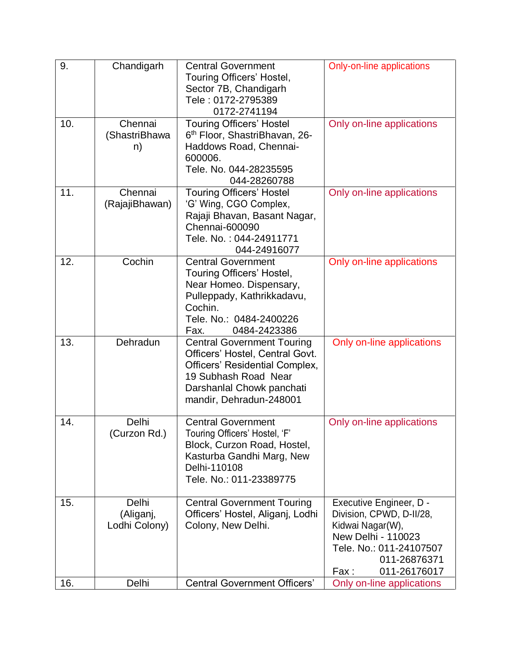| 9.  | Chandigarh                          | <b>Central Government</b><br>Touring Officers' Hostel,<br>Sector 7B, Chandigarh<br>Tele: 0172-2795389<br>0172-2741194                                                                         | <b>Only-on-line applications</b>                                                                                                                                 |
|-----|-------------------------------------|-----------------------------------------------------------------------------------------------------------------------------------------------------------------------------------------------|------------------------------------------------------------------------------------------------------------------------------------------------------------------|
| 10. | Chennai<br>(ShastriBhawa<br>n)      | <b>Touring Officers' Hostel</b><br>6 <sup>th</sup> Floor, ShastriBhavan, 26-<br>Haddows Road, Chennai-<br>600006.<br>Tele, No. 044-28235595<br>044-28260788                                   | Only on-line applications                                                                                                                                        |
| 11. | Chennai<br>(RajajiBhawan)           | <b>Touring Officers' Hostel</b><br>'G' Wing, CGO Complex,<br>Rajaji Bhavan, Basant Nagar,<br>Chennai-600090<br>Tele, No.: 044-24911771<br>044-24916077                                        | Only on-line applications                                                                                                                                        |
| 12. | Cochin                              | <b>Central Government</b><br>Touring Officers' Hostel,<br>Near Homeo. Dispensary,<br>Pulleppady, Kathrikkadavu,<br>Cochin.<br>Tele. No.: 0484-2400226<br>0484-2423386<br>Fax.                 | Only on-line applications                                                                                                                                        |
| 13. | Dehradun                            | <b>Central Government Touring</b><br>Officers' Hostel, Central Govt.<br><b>Officers' Residential Complex,</b><br>19 Subhash Road Near<br>Darshanlal Chowk panchati<br>mandir, Dehradun-248001 | Only on-line applications                                                                                                                                        |
| 14. | Delhi<br>(Curzon Rd.)               | <b>Central Government</b><br>Touring Officers' Hostel, 'F'<br>Block, Curzon Road, Hostel,<br>Kasturba Gandhi Marg, New<br>Delhi-110108<br>Tele, No.: 011-23389775                             | Only on-line applications                                                                                                                                        |
| 15. | Delhi<br>(Aliganj,<br>Lodhi Colony) | <b>Central Government Touring</b><br>Officers' Hostel, Aliganj, Lodhi<br>Colony, New Delhi.                                                                                                   | Executive Engineer, D -<br>Division, CPWD, D-II/28,<br>Kidwai Nagar(W),<br>New Delhi - 110023<br>Tele. No.: 011-24107507<br>011-26876371<br>011-26176017<br>Fax: |
| 16. | Delhi                               | <b>Central Government Officers'</b>                                                                                                                                                           | Only on-line applications                                                                                                                                        |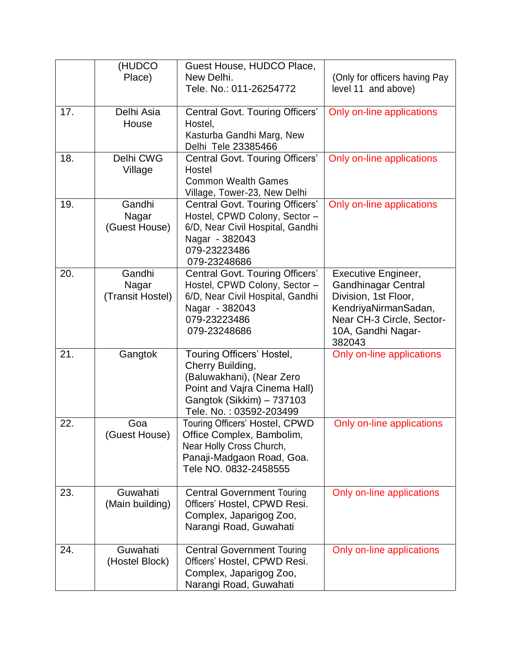|     | (HUDCO<br>Place)                    | Guest House, HUDCO Place,<br>New Delhi.<br>Tele. No.: 011-26254772                                                                                                 | (Only for officers having Pay<br>level 11 and above)                                                                                                           |
|-----|-------------------------------------|--------------------------------------------------------------------------------------------------------------------------------------------------------------------|----------------------------------------------------------------------------------------------------------------------------------------------------------------|
| 17. | Delhi Asia<br>House                 | Central Govt. Touring Officers'<br>Hostel,<br>Kasturba Gandhi Marg, New<br>Delhi Tele 23385466                                                                     | Only on-line applications                                                                                                                                      |
| 18. | Delhi CWG<br>Village                | <b>Central Govt. Touring Officers'</b><br>Hostel<br><b>Common Wealth Games</b><br>Village, Tower-23, New Delhi                                                     | Only on-line applications                                                                                                                                      |
| 19. | Gandhi<br>Nagar<br>(Guest House)    | Central Govt. Touring Officers'<br>Hostel, CPWD Colony, Sector -<br>6/D, Near Civil Hospital, Gandhi<br>Nagar - 382043<br>079-23223486<br>079-23248686             | Only on-line applications                                                                                                                                      |
| 20. | Gandhi<br>Nagar<br>(Transit Hostel) | Central Govt. Touring Officers'<br>Hostel, CPWD Colony, Sector -<br>6/D, Near Civil Hospital, Gandhi<br>Nagar - 382043<br>079-23223486<br>079-23248686             | Executive Engineer,<br><b>Gandhinagar Central</b><br>Division, 1st Floor,<br>KendriyaNirmanSadan,<br>Near CH-3 Circle, Sector-<br>10A, Gandhi Nagar-<br>382043 |
| 21. | Gangtok                             | Touring Officers' Hostel,<br>Cherry Building,<br>(Baluwakhani), (Near Zero<br>Point and Vajra Cinema Hall)<br>Gangtok (Sikkim) - 737103<br>Tele. No.: 03592-203499 | Only on-line applications                                                                                                                                      |
| 22. | Goa<br>(Guest House)                | Touring Officers' Hostel, CPWD<br>Office Complex, Bambolim,<br>Near Holly Cross Church,<br>Panaji-Madgaon Road, Goa.<br>Tele NO. 0832-2458555                      | Only on-line applications                                                                                                                                      |
| 23. | Guwahati<br>(Main building)         | <b>Central Government Touring</b><br>Officers' Hostel, CPWD Resi.<br>Complex, Japarigog Zoo,<br>Narangi Road, Guwahati                                             | Only on-line applications                                                                                                                                      |
| 24. | Guwahati<br>(Hostel Block)          | <b>Central Government Touring</b><br>Officers' Hostel, CPWD Resi.<br>Complex, Japarigog Zoo,<br>Narangi Road, Guwahati                                             | Only on-line applications                                                                                                                                      |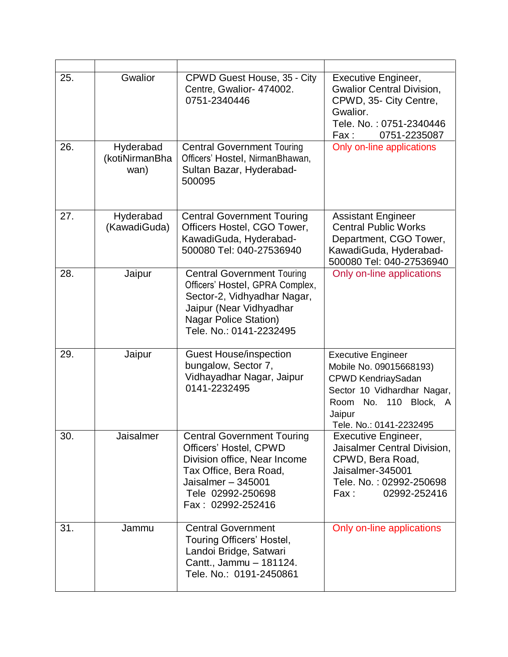| 25. | Gwalior                             | CPWD Guest House, 35 - City<br>Centre, Gwalior- 474002.<br>0751-2340446                                                                                                                   | Executive Engineer,<br><b>Gwalior Central Division,</b><br>CPWD, 35- City Centre,<br>Gwalior.<br>Tele. No.: 0751-2340446<br>0751-2235087<br>Fax :                                          |
|-----|-------------------------------------|-------------------------------------------------------------------------------------------------------------------------------------------------------------------------------------------|--------------------------------------------------------------------------------------------------------------------------------------------------------------------------------------------|
| 26. | Hyderabad<br>(kotiNirmanBha<br>wan) | <b>Central Government Touring</b><br>Officers' Hostel, NirmanBhawan,<br>Sultan Bazar, Hyderabad-<br>500095                                                                                | Only on-line applications                                                                                                                                                                  |
| 27. | Hyderabad<br>(KawadiGuda)           | <b>Central Government Touring</b><br>Officers Hostel, CGO Tower,<br>KawadiGuda, Hyderabad-<br>500080 Tel: 040-27536940                                                                    | <b>Assistant Engineer</b><br><b>Central Public Works</b><br>Department, CGO Tower,<br>KawadiGuda, Hyderabad-<br>500080 Tel: 040-27536940                                                   |
| 28. | Jaipur                              | <b>Central Government Touring</b><br>Officers' Hostel, GPRA Complex,<br>Sector-2, Vidhyadhar Nagar,<br>Jaipur (Near Vidhyadhar<br><b>Nagar Police Station)</b><br>Tele, No.: 0141-2232495 | Only on-line applications                                                                                                                                                                  |
| 29. | Jaipur                              | <b>Guest House/inspection</b><br>bungalow, Sector 7,<br>Vidhayadhar Nagar, Jaipur<br>0141-2232495                                                                                         | <b>Executive Engineer</b><br>Mobile No. 09015668193)<br><b>CPWD KendriaySadan</b><br>Sector 10 Vidhardhar Nagar,<br>110<br>No.<br>Block,<br>Room<br>A<br>Jaipur<br>Tele. No.: 0141-2232495 |
| 30. | Jaisalmer                           | <b>Central Government Touring</b><br>Officers' Hostel, CPWD<br>Division office, Near Income<br>Tax Office, Bera Road,<br>Jaisalmer $-345001$<br>Tele 02992-250698<br>Fax: 02992-252416    | Executive Engineer,<br>Jaisalmer Central Division,<br>CPWD, Bera Road,<br>Jaisalmer-345001<br>Tele. No.: 02992-250698<br>02992-252416<br>Fax :                                             |
| 31. | Jammu                               | <b>Central Government</b><br>Touring Officers' Hostel,<br>Landoi Bridge, Satwari<br>Cantt., Jammu - 181124.<br>Tele. No.: 0191-2450861                                                    | Only on-line applications                                                                                                                                                                  |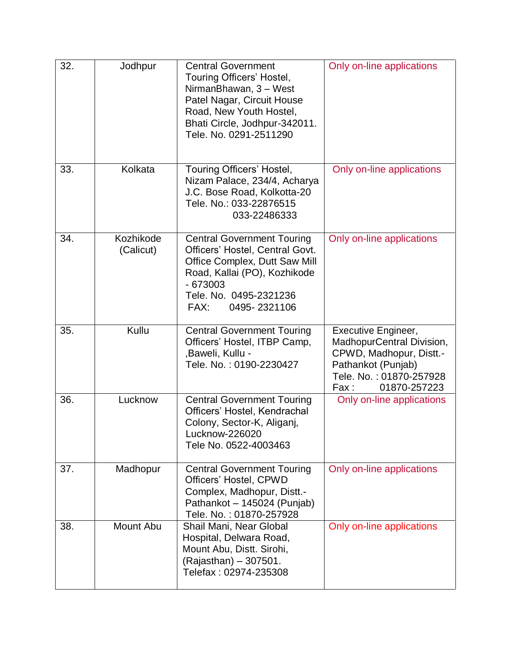| 32. | Jodhpur                | <b>Central Government</b><br>Touring Officers' Hostel,<br>NirmanBhawan, 3 - West<br>Patel Nagar, Circuit House<br>Road, New Youth Hostel,<br>Bhati Circle, Jodhpur-342011.<br>Tele. No. 0291-2511290 | Only on-line applications                                                                                                                            |
|-----|------------------------|------------------------------------------------------------------------------------------------------------------------------------------------------------------------------------------------------|------------------------------------------------------------------------------------------------------------------------------------------------------|
| 33. | Kolkata                | Touring Officers' Hostel,<br>Nizam Palace, 234/4, Acharya<br>J.C. Bose Road, Kolkotta-20<br>Tele. No.: 033-22876515<br>033-22486333                                                                  | Only on-line applications                                                                                                                            |
| 34. | Kozhikode<br>(Calicut) | <b>Central Government Touring</b><br>Officers' Hostel, Central Govt.<br>Office Complex, Dutt Saw Mill<br>Road, Kallai (PO), Kozhikode<br>$-673003$<br>Tele. No. 0495-2321236<br>FAX:<br>0495-2321106 | Only on-line applications                                                                                                                            |
| 35. | Kullu                  | <b>Central Government Touring</b><br>Officers' Hostel, ITBP Camp,<br>, Baweli, Kullu -<br>Tele. No.: 0190-2230427                                                                                    | Executive Engineer,<br>MadhopurCentral Division,<br>CPWD, Madhopur, Distt.-<br>Pathankot (Punjab)<br>Tele. No.: 01870-257928<br>01870-257223<br>Fax: |
| 36. | Lucknow                | <b>Central Government Touring</b><br>Officers' Hostel, Kendrachal<br>Colony, Sector-K, Aliganj,<br>Lucknow-226020<br>Tele No. 0522-4003463                                                           | Only on-line applications                                                                                                                            |
| 37. | Madhopur               | <b>Central Government Touring</b><br>Officers' Hostel, CPWD<br>Complex, Madhopur, Distt.-<br>Pathankot - 145024 (Punjab)<br>Tele. No.: 01870-257928                                                  | Only on-line applications                                                                                                                            |
| 38. | Mount Abu              | Shail Mani, Near Global<br>Hospital, Delwara Road,<br>Mount Abu, Distt. Sirohi,<br>(Rajasthan) - 307501.<br>Telefax: 02974-235308                                                                    | Only on-line applications                                                                                                                            |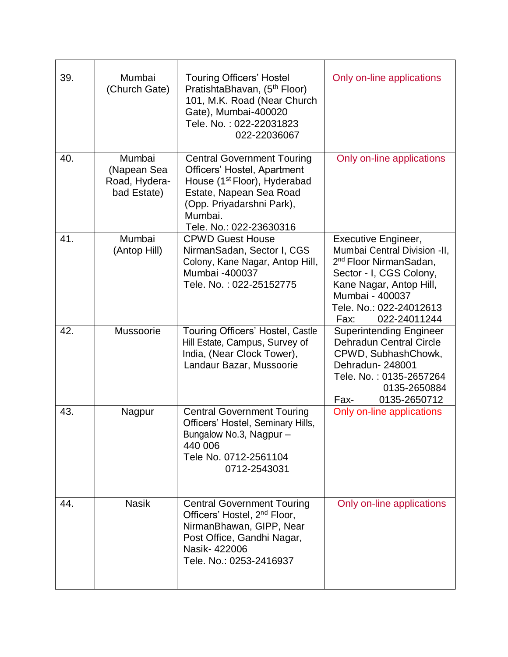| 39. | Mumbai<br>(Church Gate)                               | <b>Touring Officers' Hostel</b><br>PratishtaBhavan, (5 <sup>th</sup> Floor)<br>101, M.K. Road (Near Church<br>Gate), Mumbai-400020<br>Tele, No.: 022-22031823<br>022-22036067                              | Only on-line applications                                                                                                                                                                                                    |
|-----|-------------------------------------------------------|------------------------------------------------------------------------------------------------------------------------------------------------------------------------------------------------------------|------------------------------------------------------------------------------------------------------------------------------------------------------------------------------------------------------------------------------|
| 40. | Mumbai<br>(Napean Sea<br>Road, Hydera-<br>bad Estate) | <b>Central Government Touring</b><br>Officers' Hostel, Apartment<br>House (1 <sup>st</sup> Floor), Hyderabad<br>Estate, Napean Sea Road<br>(Opp. Priyadarshni Park),<br>Mumbai.<br>Tele. No.: 022-23630316 | Only on-line applications                                                                                                                                                                                                    |
| 41. | Mumbai<br>(Antop Hill)                                | <b>CPWD Guest House</b><br>NirmanSadan, Sector I, CGS<br>Colony, Kane Nagar, Antop Hill,<br>Mumbai -400037<br>Tele, No.: 022-25152775                                                                      | <b>Executive Engineer,</b><br>Mumbai Central Division -II,<br>2 <sup>nd</sup> Floor NirmanSadan,<br>Sector - I, CGS Colony,<br>Kane Nagar, Antop Hill,<br>Mumbai - 400037<br>Tele. No.: 022-24012613<br>022-24011244<br>Fax: |
| 42. | Mussoorie                                             | Touring Officers' Hostel, Castle<br>Hill Estate, Campus, Survey of<br>India, (Near Clock Tower),<br>Landaur Bazar, Mussoorie                                                                               | <b>Superintending Engineer</b><br><b>Dehradun Central Circle</b><br>CPWD, SubhashChowk,<br>Dehradun-248001<br>Tele. No.: 0135-2657264<br>0135-2650884<br>Fax-<br>0135-2650712                                                |
| 43. | Nagpur                                                | <b>Central Government Touring</b><br>Officers' Hostel, Seminary Hills,<br>Bungalow No.3, Nagpur-<br>440 006<br>Tele No. 0712-2561104<br>0712-2543031                                                       | Only on-line applications                                                                                                                                                                                                    |
| 44. | <b>Nasik</b>                                          | <b>Central Government Touring</b><br>Officers' Hostel, 2 <sup>nd</sup> Floor,<br>NirmanBhawan, GIPP, Near<br>Post Office, Gandhi Nagar,<br>Nasik-422006<br>Tele. No.: 0253-2416937                         | Only on-line applications                                                                                                                                                                                                    |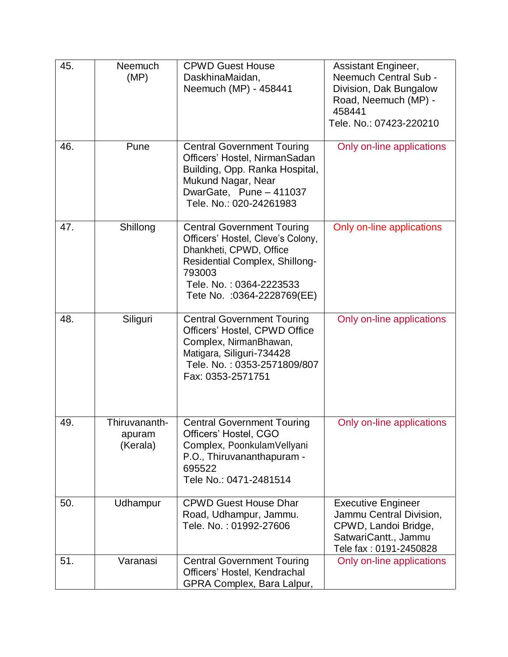| 45. | Neemuch<br>(MP)                     | <b>CPWD Guest House</b><br>DaskhinaMaidan,<br>Neemuch (MP) - 458441                                                                                                                                            | Assistant Engineer,<br>Neemuch Central Sub -<br>Division, Dak Bungalow<br>Road, Neemuch (MP) -<br>458441<br>Tele. No.: 07423-220210 |
|-----|-------------------------------------|----------------------------------------------------------------------------------------------------------------------------------------------------------------------------------------------------------------|-------------------------------------------------------------------------------------------------------------------------------------|
| 46. | Pune                                | <b>Central Government Touring</b><br>Officers' Hostel, NirmanSadan<br>Building, Opp. Ranka Hospital,<br>Mukund Nagar, Near<br>DwarGate, Pune - 411037<br>Tele, No.: 020-24261983                               | Only on-line applications                                                                                                           |
| 47. | Shillong                            | <b>Central Government Touring</b><br>Officers' Hostel, Cleve's Colony,<br>Dhankheti, CPWD, Office<br><b>Residential Complex, Shillong-</b><br>793003<br>Tele. No.: 0364-2223533<br>Tete No. : 0364-2228769(EE) | Only on-line applications                                                                                                           |
| 48. | Siliguri                            | <b>Central Government Touring</b><br>Officers' Hostel, CPWD Office<br>Complex, NirmanBhawan,<br>Matigara, Siliguri-734428<br>Tele. No.: 0353-2571809/807<br>Fax: 0353-2571751                                  | Only on-line applications                                                                                                           |
| 49. | Thiruvananth-<br>apuram<br>(Kerala) | <b>Central Government Touring</b><br>Officers' Hostel, CGO<br>Complex, PoonkulamVellyani<br>P.O., Thiruvananthapuram -<br>695522<br>Tele No.: 0471-2481514                                                     | Only on-line applications                                                                                                           |
| 50. | Udhampur                            | <b>CPWD Guest House Dhar</b><br>Road, Udhampur, Jammu.<br>Tele. No.: 01992-27606                                                                                                                               | <b>Executive Engineer</b><br>Jammu Central Division,<br>CPWD, Landoi Bridge,<br>SatwariCantt., Jammu<br>Tele fax: 0191-2450828      |
| 51. | Varanasi                            | <b>Central Government Touring</b><br>Officers' Hostel, Kendrachal<br>GPRA Complex, Bara Lalpur,                                                                                                                | Only on-line applications                                                                                                           |